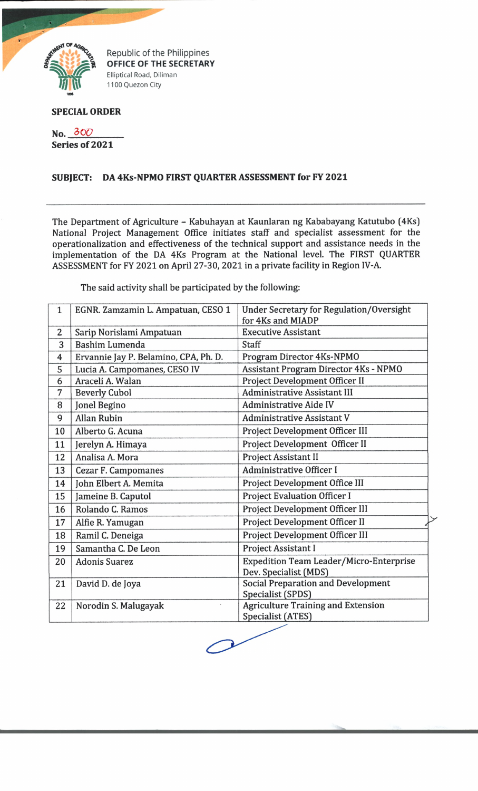

Republic of the Philippines **OFFICE OF THE SECRETARY** Elliptical Road, Diliman 1100 Quezon City

## **SPECIAL ORDER**

**No. 3 0***Q* **Series of 2021**

## **SUBJECT: DA 4Ks-NPMO FIRST QUARTER ASSESSMENT for FY 2021**

The Department of Agriculture - Kabuhayan at Kaunlaran ng Kababayang Katutubo (4Ks) National Project Management Office initiates staff and specialist assessment for the operationalization and effectiveness of the technical support and assistance needs in the implementation of the DA 4Ks Program at the National level. The FIRST QUARTER ASSESSMENT for FY 2021 on April 27-30, 2021 in a private facility in Region IV-A.

The said activity shall be participated by the following:

| $\mathbf{1}$   | EGNR. Zamzamin L. Ampatuan, CESO 1    | <b>Under Secretary for Regulation/Oversight</b><br>for 4Ks and MIADP    |  |
|----------------|---------------------------------------|-------------------------------------------------------------------------|--|
| $\overline{2}$ | Sarip Norislami Ampatuan              | <b>Executive Assistant</b>                                              |  |
| 3              | <b>Bashim Lumenda</b>                 | <b>Staff</b>                                                            |  |
| 4              | Ervannie Jay P. Belamino, CPA, Ph. D. | Program Director 4Ks-NPMO                                               |  |
| 5              | Lucia A. Campomanes, CESO IV          | <b>Assistant Program Director 4Ks - NPMO</b>                            |  |
| 6              | Araceli A. Walan                      | Project Development Officer II                                          |  |
| 7              | <b>Beverly Cubol</b>                  | <b>Administrative Assistant III</b>                                     |  |
| 8              | Jonel Begino                          | <b>Administrative Aide IV</b>                                           |  |
| 9              | <b>Allan Rubin</b>                    | <b>Administrative Assistant V</b>                                       |  |
| 10             | Alberto G. Acuna                      | Project Development Officer III                                         |  |
| 11             | Jerelyn A. Himaya                     | Project Development Officer II                                          |  |
| 12             | Analisa A. Mora                       | Project Assistant II                                                    |  |
| 13             | <b>Cezar F. Campomanes</b>            | <b>Administrative Officer I</b>                                         |  |
| 14             | John Elbert A. Memita                 | Project Development Office III                                          |  |
| 15             | Jameine B. Caputol                    | <b>Project Evaluation Officer I</b>                                     |  |
| 16             | Rolando C. Ramos                      | Project Development Officer III                                         |  |
| 17             | Alfie R. Yamugan                      | Project Development Officer II                                          |  |
| 18             | Ramil C. Deneiga                      | Project Development Officer III                                         |  |
| 19             | Samantha C. De Leon                   | Project Assistant I                                                     |  |
| 20             | <b>Adonis Suarez</b>                  | <b>Expedition Team Leader/Micro-Enterprise</b><br>Dev. Specialist (MDS) |  |
| 21             | David D. de Joya                      | <b>Social Preparation and Development</b><br>Specialist (SPDS)          |  |
| 22             | Norodin S. Malugayak                  | <b>Agriculture Training and Extension</b><br><b>Specialist (ATES)</b>   |  |

 $\mathcal{P}$